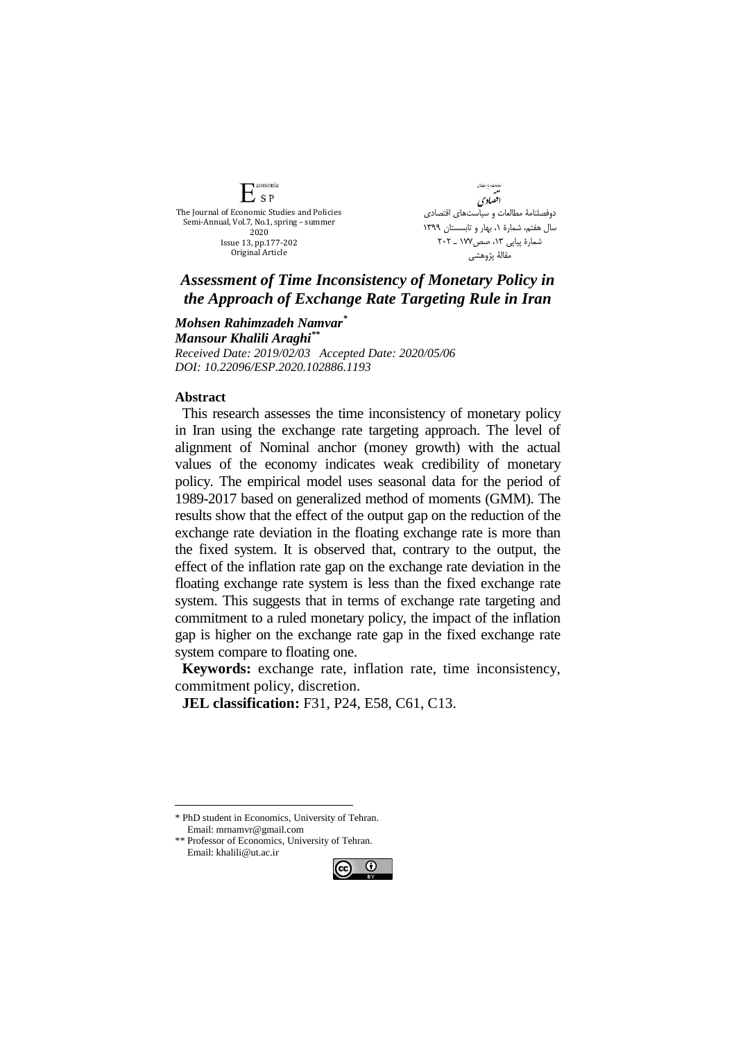conomic  $E_{SP}$ The Journal of Economic Studies and Policies Semi-Annual, Vol.7, No.1, spring – summer 2020 Issue 13, pp.177-202 Original Article

ھامات مبا<sup>ست</sup> <sup>ف</sup>ان ستهبسته<br>تقسیمادی دوفصلنامۀ مطالعات و سیاستهای اقتصادی سال هفتم، شمارة ،1 بهار و تابسستان 1399 شمارهٔ پیاپی ۱۳، صص۱۷۷ ـ ۲۰۲ مقالۀ پژوهشي

## *Assessment of Time Inconsistency of Monetary Policy in the Approach of Exchange Rate Targeting Rule in Iran*

*Mohsen Rahimzadeh Namvar\* Mansour Khalili Araghi\*\* Received Date: 2019/02/03 Accepted Date: 2020/05/06 DOI: 10.22096/ESP.2020.102886.1193*

## **Abstract**

This research assesses the time inconsistency of monetary policy in Iran using the exchange rate targeting approach. The level of alignment of Nominal anchor (money growth) with the actual values of the economy indicates weak credibility of monetary policy. The empirical model uses seasonal data for the period of 1989-2017 based on generalized method of moments (GMM). The results show that the effect of the output gap on the reduction of the exchange rate deviation in the floating exchange rate is more than the fixed system. It is observed that, contrary to the output, the effect of the inflation rate gap on the exchange rate deviation in the floating exchange rate system is less than the fixed exchange rate system. This suggests that in terms of exchange rate targeting and commitment to a ruled monetary policy, the impact of the inflation gap is higher on the exchange rate gap in the fixed exchange rate system compare to floating one.

**Keywords:** exchange rate, inflation rate, time inconsistency, commitment policy, discretion.

**JEL classification:** F31, P24, E58, C61, C13.

<u>.</u>

<sup>\*\*</sup> Professor of Economics, University of Tehran. Email: khalili@ut.ac.ir



<sup>\*</sup> PhD student in Economics, University of Tehran. Email: mrnamvr@gmail.com